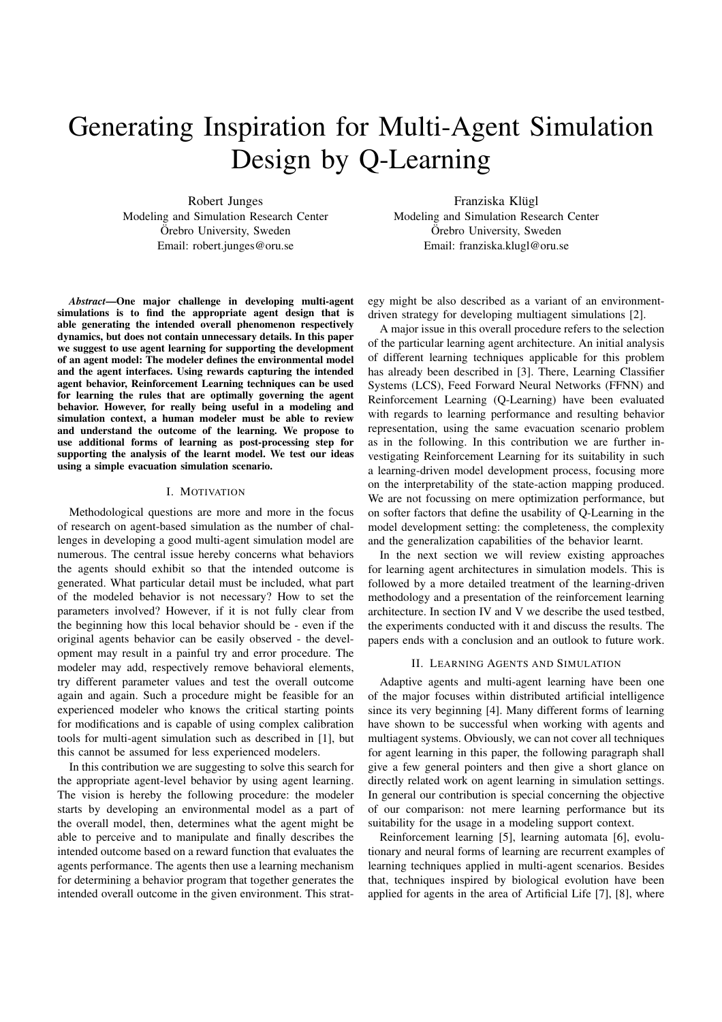# Generating Inspiration for Multi-Agent Simulation Design by Q-Learning

Robert Junges Modeling and Simulation Research Center Örebro University, Sweden Email: robert.junges@oru.se

Franziska Klügl Modeling and Simulation Research Center Örebro University, Sweden Email: franziska.klugl@oru.se

*Abstract*—One major challenge in developing multi-agent simulations is to find the appropriate agent design that is able generating the intended overall phenomenon respectively dynamics, but does not contain unnecessary details. In this paper we suggest to use agent learning for supporting the development of an agent model: The modeler defines the environmental model and the agent interfaces. Using rewards capturing the intended agent behavior, Reinforcement Learning techniques can be used for learning the rules that are optimally governing the agent behavior. However, for really being useful in a modeling and simulation context, a human modeler must be able to review and understand the outcome of the learning. We propose to use additional forms of learning as post-processing step for supporting the analysis of the learnt model. We test our ideas using a simple evacuation simulation scenario.

#### I. MOTIVATION

Methodological questions are more and more in the focus of research on agent-based simulation as the number of challenges in developing a good multi-agent simulation model are numerous. The central issue hereby concerns what behaviors the agents should exhibit so that the intended outcome is generated. What particular detail must be included, what part of the modeled behavior is not necessary? How to set the parameters involved? However, if it is not fully clear from the beginning how this local behavior should be - even if the original agents behavior can be easily observed - the development may result in a painful try and error procedure. The modeler may add, respectively remove behavioral elements, try different parameter values and test the overall outcome again and again. Such a procedure might be feasible for an experienced modeler who knows the critical starting points for modifications and is capable of using complex calibration tools for multi-agent simulation such as described in [1], but this cannot be assumed for less experienced modelers.

In this contribution we are suggesting to solve this search for the appropriate agent-level behavior by using agent learning. The vision is hereby the following procedure: the modeler starts by developing an environmental model as a part of the overall model, then, determines what the agent might be able to perceive and to manipulate and finally describes the intended outcome based on a reward function that evaluates the agents performance. The agents then use a learning mechanism for determining a behavior program that together generates the intended overall outcome in the given environment. This strategy might be also described as a variant of an environmentdriven strategy for developing multiagent simulations [2].

A major issue in this overall procedure refers to the selection of the particular learning agent architecture. An initial analysis of different learning techniques applicable for this problem has already been described in [3]. There, Learning Classifier Systems (LCS), Feed Forward Neural Networks (FFNN) and Reinforcement Learning (Q-Learning) have been evaluated with regards to learning performance and resulting behavior representation, using the same evacuation scenario problem as in the following. In this contribution we are further investigating Reinforcement Learning for its suitability in such a learning-driven model development process, focusing more on the interpretability of the state-action mapping produced. We are not focussing on mere optimization performance, but on softer factors that define the usability of Q-Learning in the model development setting: the completeness, the complexity and the generalization capabilities of the behavior learnt.

In the next section we will review existing approaches for learning agent architectures in simulation models. This is followed by a more detailed treatment of the learning-driven methodology and a presentation of the reinforcement learning architecture. In section IV and V we describe the used testbed, the experiments conducted with it and discuss the results. The papers ends with a conclusion and an outlook to future work.

#### II. LEARNING AGENTS AND SIMULATION

Adaptive agents and multi-agent learning have been one of the major focuses within distributed artificial intelligence since its very beginning [4]. Many different forms of learning have shown to be successful when working with agents and multiagent systems. Obviously, we can not cover all techniques for agent learning in this paper, the following paragraph shall give a few general pointers and then give a short glance on directly related work on agent learning in simulation settings. In general our contribution is special concerning the objective of our comparison: not mere learning performance but its suitability for the usage in a modeling support context.

Reinforcement learning [5], learning automata [6], evolutionary and neural forms of learning are recurrent examples of learning techniques applied in multi-agent scenarios. Besides that, techniques inspired by biological evolution have been applied for agents in the area of Artificial Life [7], [8], where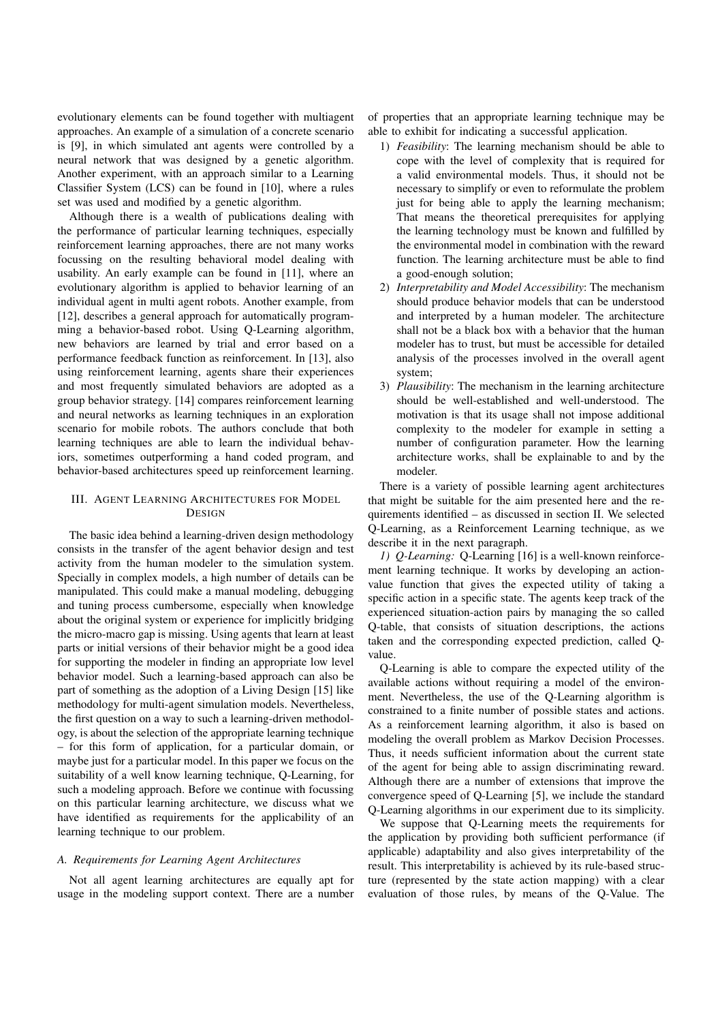evolutionary elements can be found together with multiagent approaches. An example of a simulation of a concrete scenario is [9], in which simulated ant agents were controlled by a neural network that was designed by a genetic algorithm. Another experiment, with an approach similar to a Learning Classifier System (LCS) can be found in [10], where a rules set was used and modified by a genetic algorithm.

Although there is a wealth of publications dealing with the performance of particular learning techniques, especially reinforcement learning approaches, there are not many works focussing on the resulting behavioral model dealing with usability. An early example can be found in [11], where an evolutionary algorithm is applied to behavior learning of an individual agent in multi agent robots. Another example, from [12], describes a general approach for automatically programming a behavior-based robot. Using Q-Learning algorithm, new behaviors are learned by trial and error based on a performance feedback function as reinforcement. In [13], also using reinforcement learning, agents share their experiences and most frequently simulated behaviors are adopted as a group behavior strategy. [14] compares reinforcement learning and neural networks as learning techniques in an exploration scenario for mobile robots. The authors conclude that both learning techniques are able to learn the individual behaviors, sometimes outperforming a hand coded program, and behavior-based architectures speed up reinforcement learning.

# III. AGENT LEARNING ARCHITECTURES FOR MODEL **DESIGN**

The basic idea behind a learning-driven design methodology consists in the transfer of the agent behavior design and test activity from the human modeler to the simulation system. Specially in complex models, a high number of details can be manipulated. This could make a manual modeling, debugging and tuning process cumbersome, especially when knowledge about the original system or experience for implicitly bridging the micro-macro gap is missing. Using agents that learn at least parts or initial versions of their behavior might be a good idea for supporting the modeler in finding an appropriate low level behavior model. Such a learning-based approach can also be part of something as the adoption of a Living Design [15] like methodology for multi-agent simulation models. Nevertheless, the first question on a way to such a learning-driven methodology, is about the selection of the appropriate learning technique – for this form of application, for a particular domain, or maybe just for a particular model. In this paper we focus on the suitability of a well know learning technique, Q-Learning, for such a modeling approach. Before we continue with focussing on this particular learning architecture, we discuss what we have identified as requirements for the applicability of an learning technique to our problem.

## *A. Requirements for Learning Agent Architectures*

Not all agent learning architectures are equally apt for usage in the modeling support context. There are a number

of properties that an appropriate learning technique may be able to exhibit for indicating a successful application.

- 1) *Feasibility*: The learning mechanism should be able to cope with the level of complexity that is required for a valid environmental models. Thus, it should not be necessary to simplify or even to reformulate the problem just for being able to apply the learning mechanism; That means the theoretical prerequisites for applying the learning technology must be known and fulfilled by the environmental model in combination with the reward function. The learning architecture must be able to find a good-enough solution;
- 2) *Interpretability and Model Accessibility*: The mechanism should produce behavior models that can be understood and interpreted by a human modeler. The architecture shall not be a black box with a behavior that the human modeler has to trust, but must be accessible for detailed analysis of the processes involved in the overall agent system;
- 3) *Plausibility*: The mechanism in the learning architecture should be well-established and well-understood. The motivation is that its usage shall not impose additional complexity to the modeler for example in setting a number of configuration parameter. How the learning architecture works, shall be explainable to and by the modeler.

There is a variety of possible learning agent architectures that might be suitable for the aim presented here and the requirements identified – as discussed in section II. We selected Q-Learning, as a Reinforcement Learning technique, as we describe it in the next paragraph.

*1) Q-Learning:* Q-Learning [16] is a well-known reinforcement learning technique. It works by developing an actionvalue function that gives the expected utility of taking a specific action in a specific state. The agents keep track of the experienced situation-action pairs by managing the so called Q-table, that consists of situation descriptions, the actions taken and the corresponding expected prediction, called Qvalue.

Q-Learning is able to compare the expected utility of the available actions without requiring a model of the environment. Nevertheless, the use of the Q-Learning algorithm is constrained to a finite number of possible states and actions. As a reinforcement learning algorithm, it also is based on modeling the overall problem as Markov Decision Processes. Thus, it needs sufficient information about the current state of the agent for being able to assign discriminating reward. Although there are a number of extensions that improve the convergence speed of Q-Learning [5], we include the standard Q-Learning algorithms in our experiment due to its simplicity.

We suppose that Q-Learning meets the requirements for the application by providing both sufficient performance (if applicable) adaptability and also gives interpretability of the result. This interpretability is achieved by its rule-based structure (represented by the state action mapping) with a clear evaluation of those rules, by means of the Q-Value. The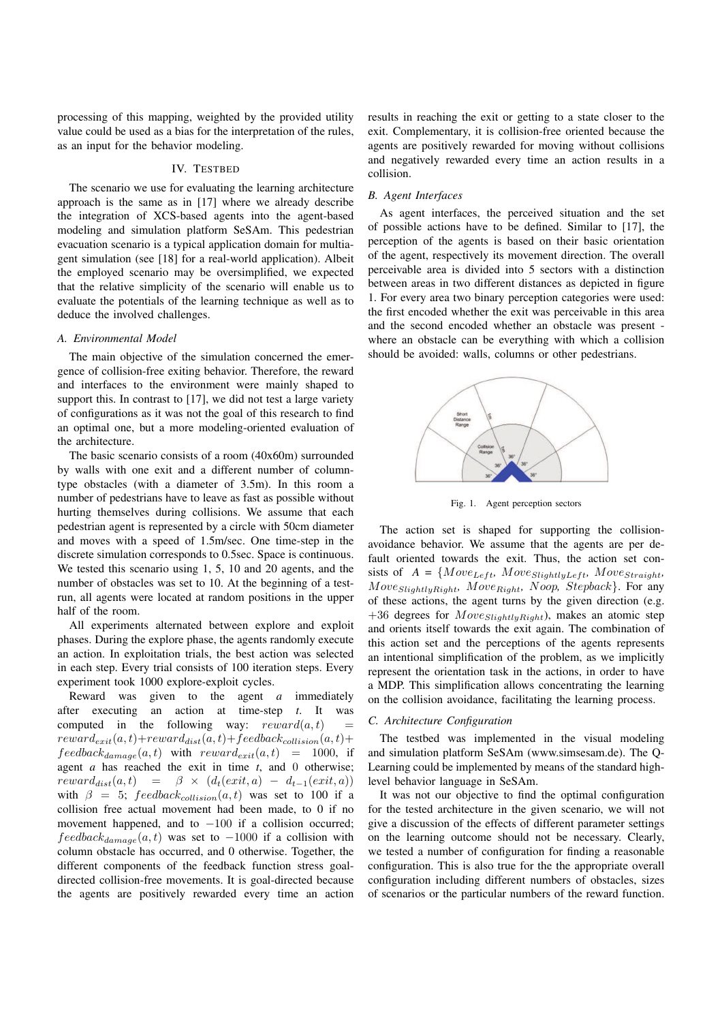processing of this mapping, weighted by the provided utility value could be used as a bias for the interpretation of the rules, as an input for the behavior modeling.

## IV. TESTBED

The scenario we use for evaluating the learning architecture approach is the same as in [17] where we already describe the integration of XCS-based agents into the agent-based modeling and simulation platform SeSAm. This pedestrian evacuation scenario is a typical application domain for multiagent simulation (see [18] for a real-world application). Albeit the employed scenario may be oversimplified, we expected that the relative simplicity of the scenario will enable us to evaluate the potentials of the learning technique as well as to deduce the involved challenges.

## *A. Environmental Model*

The main objective of the simulation concerned the emergence of collision-free exiting behavior. Therefore, the reward and interfaces to the environment were mainly shaped to support this. In contrast to [17], we did not test a large variety of configurations as it was not the goal of this research to find an optimal one, but a more modeling-oriented evaluation of the architecture.

The basic scenario consists of a room (40x60m) surrounded by walls with one exit and a different number of columntype obstacles (with a diameter of 3.5m). In this room a number of pedestrians have to leave as fast as possible without hurting themselves during collisions. We assume that each pedestrian agent is represented by a circle with 50cm diameter and moves with a speed of 1.5m/sec. One time-step in the discrete simulation corresponds to 0.5sec. Space is continuous. We tested this scenario using 1, 5, 10 and 20 agents, and the number of obstacles was set to 10. At the beginning of a testrun, all agents were located at random positions in the upper half of the room.

All experiments alternated between explore and exploit phases. During the explore phase, the agents randomly execute an action. In exploitation trials, the best action was selected in each step. Every trial consists of 100 iteration steps. Every experiment took 1000 explore-exploit cycles.

Reward was given to the agent *a* immediately after executing an action at time-step *t*. It was computed in the following way:  $reward(a, t)$  =  $reward_{exit}(a, t) + reward_{dist}(a, t) + feedback_{collision}(a, t) +$  $feedback_{damage}(a, t)$  with  $reward_{exit}(a, t) = 1000$ , if agent *a* has reached the exit in time *t*, and 0 otherwise;  $reward_{dist}(a, t) = \beta \times (d_t(exit, a) - d_{t-1}(exit, a))$ with  $\beta = 5$ ; feedbackcollision(a, t) was set to 100 if a collision free actual movement had been made, to 0 if no movement happened, and to  $-100$  if a collision occurred;  $feedback_{damage}(a, t)$  was set to -1000 if a collision with column obstacle has occurred, and 0 otherwise. Together, the different components of the feedback function stress goaldirected collision-free movements. It is goal-directed because the agents are positively rewarded every time an action

results in reaching the exit or getting to a state closer to the exit. Complementary, it is collision-free oriented because the agents are positively rewarded for moving without collisions and negatively rewarded every time an action results in a collision.

#### *B. Agent Interfaces*

As agent interfaces, the perceived situation and the set of possible actions have to be defined. Similar to [17], the perception of the agents is based on their basic orientation of the agent, respectively its movement direction. The overall perceivable area is divided into 5 sectors with a distinction between areas in two different distances as depicted in figure 1. For every area two binary perception categories were used: the first encoded whether the exit was perceivable in this area and the second encoded whether an obstacle was present where an obstacle can be everything with which a collision should be avoided: walls, columns or other pedestrians.



Fig. 1. Agent perception sectors

The action set is shaped for supporting the collisionavoidance behavior. We assume that the agents are per default oriented towards the exit. Thus, the action set consists of  $A = \{Move_{Left}, Move_{SlightlyLeft}, Move_{Straight,}$  $Move_{SlightlyRight}$ ,  $Move_{Right}$ ,  $Noop$ ,  $Stepback$ }. For any of these actions, the agent turns by the given direction (e.g. +36 degrees for  $Move_{SlightlyRight}$ , makes an atomic step and orients itself towards the exit again. The combination of this action set and the perceptions of the agents represents an intentional simplification of the problem, as we implicitly represent the orientation task in the actions, in order to have a MDP. This simplification allows concentrating the learning on the collision avoidance, facilitating the learning process.

## *C. Architecture Configuration*

The testbed was implemented in the visual modeling and simulation platform SeSAm (www.simsesam.de). The Q-Learning could be implemented by means of the standard highlevel behavior language in SeSAm.

It was not our objective to find the optimal configuration for the tested architecture in the given scenario, we will not give a discussion of the effects of different parameter settings on the learning outcome should not be necessary. Clearly, we tested a number of configuration for finding a reasonable configuration. This is also true for the the appropriate overall configuration including different numbers of obstacles, sizes of scenarios or the particular numbers of the reward function.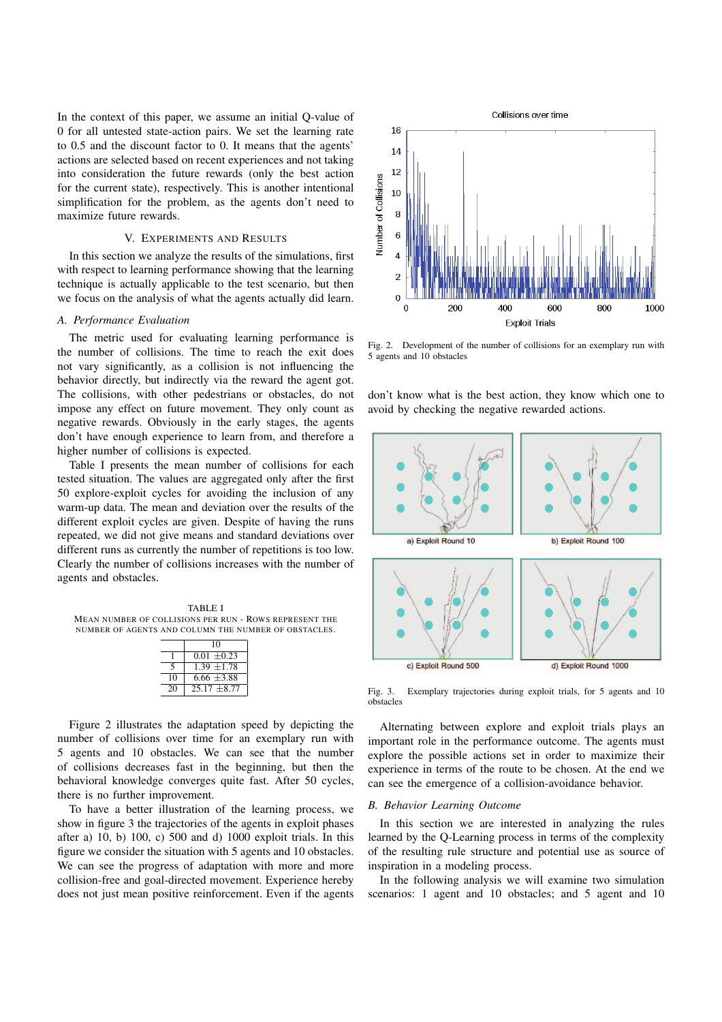In the context of this paper, we assume an initial Q-value of 0 for all untested state-action pairs. We set the learning rate to 0.5 and the discount factor to 0. It means that the agents' actions are selected based on recent experiences and not taking into consideration the future rewards (only the best action for the current state), respectively. This is another intentional simplification for the problem, as the agents don't need to maximize future rewards.

## V. EXPERIMENTS AND RESULTS

In this section we analyze the results of the simulations, first with respect to learning performance showing that the learning technique is actually applicable to the test scenario, but then we focus on the analysis of what the agents actually did learn.

### *A. Performance Evaluation*

The metric used for evaluating learning performance is the number of collisions. The time to reach the exit does not vary significantly, as a collision is not influencing the behavior directly, but indirectly via the reward the agent got. The collisions, with other pedestrians or obstacles, do not impose any effect on future movement. They only count as negative rewards. Obviously in the early stages, the agents don't have enough experience to learn from, and therefore a higher number of collisions is expected.

Table I presents the mean number of collisions for each tested situation. The values are aggregated only after the first 50 explore-exploit cycles for avoiding the inclusion of any warm-up data. The mean and deviation over the results of the different exploit cycles are given. Despite of having the runs repeated, we did not give means and standard deviations over different runs as currently the number of repetitions is too low. Clearly the number of collisions increases with the number of agents and obstacles.

TABLE I MEAN NUMBER OF COLLISIONS PER RUN - ROWS REPRESENT THE NUMBER OF AGENTS AND COLUMN THE NUMBER OF OBSTACLES.

|    | 10              |  |  |
|----|-----------------|--|--|
|    | $0.01 + 0.23$   |  |  |
|    | $1.39 + 1.78$   |  |  |
| 10 | 6.66 $\pm$ 3.88 |  |  |
| 20 | $2517 + 877$    |  |  |

Figure 2 illustrates the adaptation speed by depicting the number of collisions over time for an exemplary run with 5 agents and 10 obstacles. We can see that the number of collisions decreases fast in the beginning, but then the behavioral knowledge converges quite fast. After 50 cycles, there is no further improvement.

To have a better illustration of the learning process, we show in figure 3 the trajectories of the agents in exploit phases after a) 10, b) 100, c) 500 and d) 1000 exploit trials. In this figure we consider the situation with 5 agents and 10 obstacles. We can see the progress of adaptation with more and more collision-free and goal-directed movement. Experience hereby does not just mean positive reinforcement. Even if the agents



Fig. 2. Development of the number of collisions for an exemplary run with 5 agents and 10 obstacles

don't know what is the best action, they know which one to avoid by checking the negative rewarded actions.



Fig. 3. Exemplary trajectories during exploit trials, for 5 agents and 10 obstacles

Alternating between explore and exploit trials plays an important role in the performance outcome. The agents must explore the possible actions set in order to maximize their experience in terms of the route to be chosen. At the end we can see the emergence of a collision-avoidance behavior.

# *B. Behavior Learning Outcome*

In this section we are interested in analyzing the rules learned by the Q-Learning process in terms of the complexity of the resulting rule structure and potential use as source of inspiration in a modeling process.

In the following analysis we will examine two simulation scenarios: 1 agent and 10 obstacles; and 5 agent and 10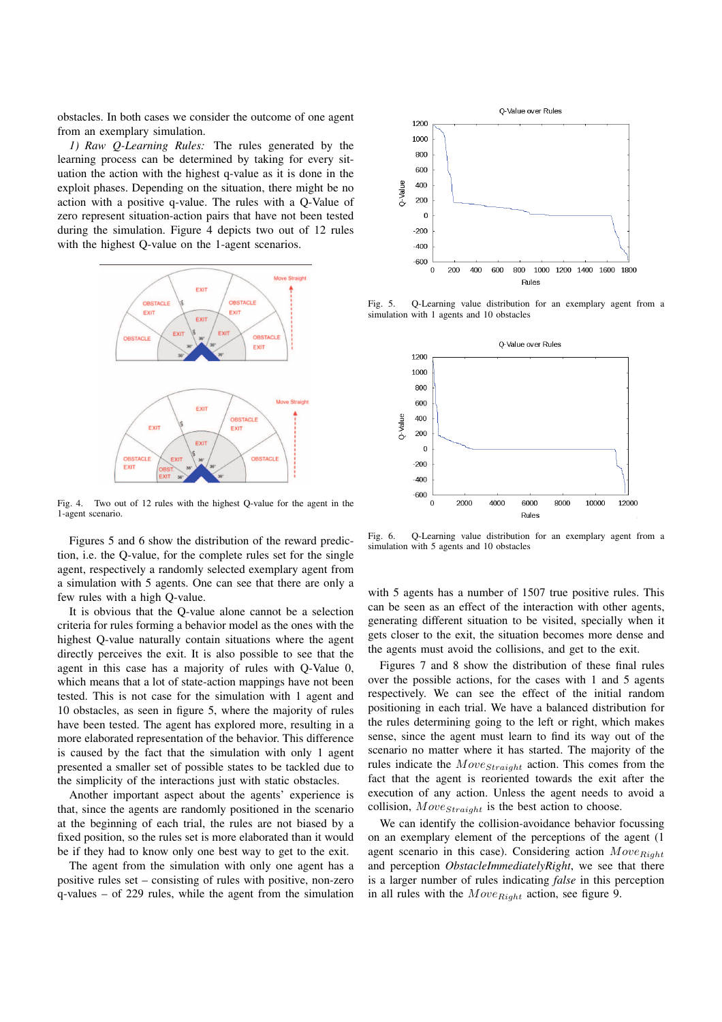obstacles. In both cases we consider the outcome of one agent from an exemplary simulation.

*1) Raw Q-Learning Rules:* The rules generated by the learning process can be determined by taking for every situation the action with the highest q-value as it is done in the exploit phases. Depending on the situation, there might be no action with a positive q-value. The rules with a Q-Value of zero represent situation-action pairs that have not been tested during the simulation. Figure 4 depicts two out of 12 rules with the highest Q-value on the 1-agent scenarios.



Fig. 4. Two out of 12 rules with the highest Q-value for the agent in the 1-agent scenario.

Figures 5 and 6 show the distribution of the reward prediction, i.e. the Q-value, for the complete rules set for the single agent, respectively a randomly selected exemplary agent from a simulation with 5 agents. One can see that there are only a few rules with a high Q-value.

It is obvious that the Q-value alone cannot be a selection criteria for rules forming a behavior model as the ones with the highest Q-value naturally contain situations where the agent directly perceives the exit. It is also possible to see that the agent in this case has a majority of rules with Q-Value 0, which means that a lot of state-action mappings have not been tested. This is not case for the simulation with 1 agent and 10 obstacles, as seen in figure 5, where the majority of rules have been tested. The agent has explored more, resulting in a more elaborated representation of the behavior. This difference is caused by the fact that the simulation with only 1 agent presented a smaller set of possible states to be tackled due to the simplicity of the interactions just with static obstacles.

Another important aspect about the agents' experience is that, since the agents are randomly positioned in the scenario at the beginning of each trial, the rules are not biased by a fixed position, so the rules set is more elaborated than it would be if they had to know only one best way to get to the exit.

The agent from the simulation with only one agent has a positive rules set – consisting of rules with positive, non-zero q-values – of 229 rules, while the agent from the simulation



Fig. 5. Q-Learning value distribution for an exemplary agent from a simulation with 1 agents and 10 obstacles



Fig. 6. Q-Learning value distribution for an exemplary agent from a simulation with 5 agents and 10 obstacles

with 5 agents has a number of 1507 true positive rules. This can be seen as an effect of the interaction with other agents, generating different situation to be visited, specially when it gets closer to the exit, the situation becomes more dense and the agents must avoid the collisions, and get to the exit.

Figures 7 and 8 show the distribution of these final rules over the possible actions, for the cases with 1 and 5 agents respectively. We can see the effect of the initial random positioning in each trial. We have a balanced distribution for the rules determining going to the left or right, which makes sense, since the agent must learn to find its way out of the scenario no matter where it has started. The majority of the rules indicate the  $Move_{Straight}$  action. This comes from the fact that the agent is reoriented towards the exit after the execution of any action. Unless the agent needs to avoid a collision,  $Move_{Straight}$  is the best action to choose.

We can identify the collision-avoidance behavior focussing on an exemplary element of the perceptions of the agent (1 agent scenario in this case). Considering action  $Move_{Right}$ and perception *ObstacleImmediatelyRight*, we see that there is a larger number of rules indicating *false* in this perception in all rules with the  $Move_{Right}$  action, see figure 9.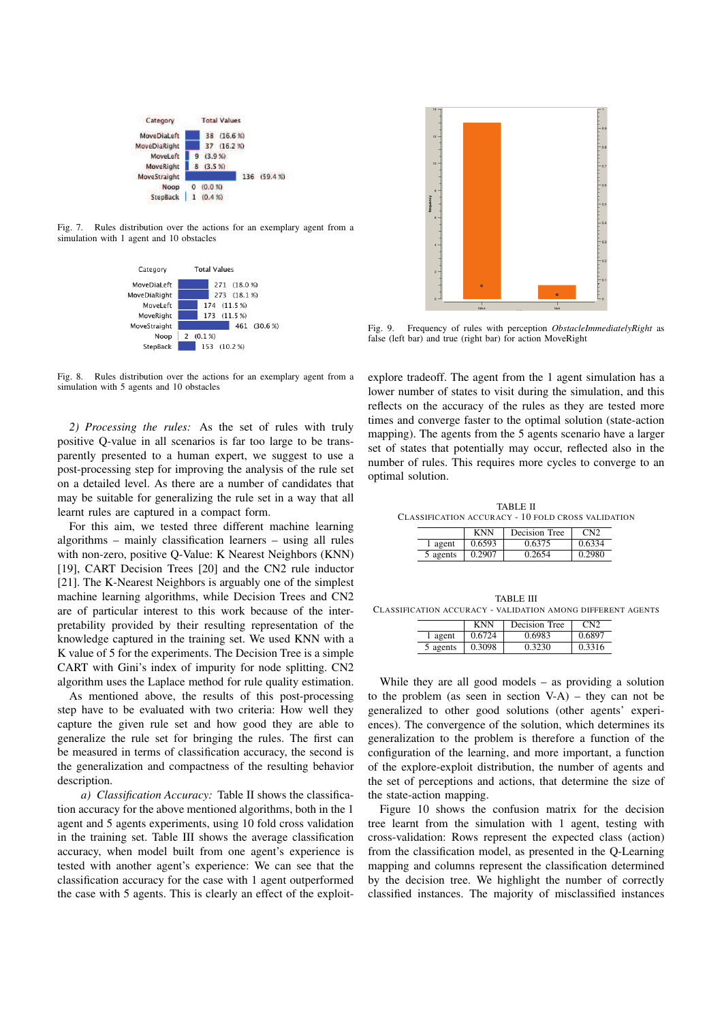

Fig. 7. Rules distribution over the actions for an exemplary agent from a simulation with 1 agent and 10 obstacles



Fig. 8. Rules distribution over the actions for an exemplary agent from a simulation with 5 agents and 10 obstacles

*2) Processing the rules:* As the set of rules with truly positive Q-value in all scenarios is far too large to be transparently presented to a human expert, we suggest to use a post-processing step for improving the analysis of the rule set on a detailed level. As there are a number of candidates that may be suitable for generalizing the rule set in a way that all learnt rules are captured in a compact form.

For this aim, we tested three different machine learning algorithms – mainly classification learners – using all rules with non-zero, positive Q-Value: K Nearest Neighbors (KNN) [19], CART Decision Trees [20] and the CN2 rule inductor [21]. The K-Nearest Neighbors is arguably one of the simplest machine learning algorithms, while Decision Trees and CN2 are of particular interest to this work because of the interpretability provided by their resulting representation of the knowledge captured in the training set. We used KNN with a K value of 5 for the experiments. The Decision Tree is a simple CART with Gini's index of impurity for node splitting. CN2 algorithm uses the Laplace method for rule quality estimation.

As mentioned above, the results of this post-processing step have to be evaluated with two criteria: How well they capture the given rule set and how good they are able to generalize the rule set for bringing the rules. The first can be measured in terms of classification accuracy, the second is the generalization and compactness of the resulting behavior description.

*a) Classification Accuracy:* Table II shows the classification accuracy for the above mentioned algorithms, both in the 1 agent and 5 agents experiments, using 10 fold cross validation in the training set. Table III shows the average classification accuracy, when model built from one agent's experience is tested with another agent's experience: We can see that the classification accuracy for the case with 1 agent outperformed the case with 5 agents. This is clearly an effect of the exploit-



Fig. 9. Frequency of rules with perception *ObstacleImmediatelyRight* as false (left bar) and true (right bar) for action MoveRight

explore tradeoff. The agent from the 1 agent simulation has a lower number of states to visit during the simulation, and this reflects on the accuracy of the rules as they are tested more times and converge faster to the optimal solution (state-action mapping). The agents from the 5 agents scenario have a larger set of states that potentially may occur, reflected also in the number of rules. This requires more cycles to converge to an optimal solution.

TABLE II CLASSIFICATION ACCURACY - 10 FOLD CROSS VALIDATION

|          | KNN    | Decision Tree | CN2    |
|----------|--------|---------------|--------|
| l agent  | 0.6593 | 0.6375        | 0.6334 |
| 5 agents | 0.2907 | 0.2654        | 0.2980 |

TABLE III CLASSIFICATION ACCURACY - VALIDATION AMONG DIFFERENT AGENTS

|          | <b>KNN</b> | Decision Tree |        |  |  |
|----------|------------|---------------|--------|--|--|
| agent    | 0.6724     | 0.6983        | 0.6897 |  |  |
| 5 agents | 0.3098     | 0.3230        | 0.3316 |  |  |

While they are all good models – as providing a solution to the problem (as seen in section V-A) – they can not be generalized to other good solutions (other agents' experiences). The convergence of the solution, which determines its generalization to the problem is therefore a function of the configuration of the learning, and more important, a function of the explore-exploit distribution, the number of agents and the set of perceptions and actions, that determine the size of the state-action mapping.

Figure 10 shows the confusion matrix for the decision tree learnt from the simulation with 1 agent, testing with cross-validation: Rows represent the expected class (action) from the classification model, as presented in the Q-Learning mapping and columns represent the classification determined by the decision tree. We highlight the number of correctly classified instances. The majority of misclassified instances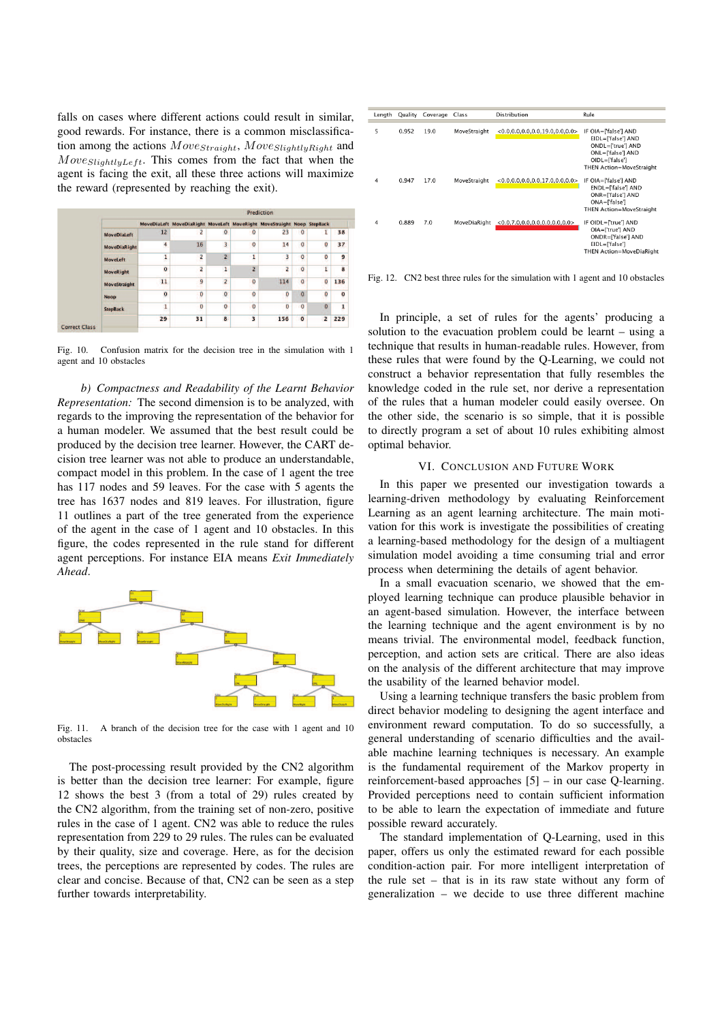falls on cases where different actions could result in similar, good rewards. For instance, there is a common misclassification among the actions  $Move_{Straight}$ ,  $Move_{SlightlyRight}$  and  $Move_{SlightlyLeft}$ . This comes from the fact that when the agent is facing the exit, all these three actions will maximize the reward (represented by reaching the exit).

|                      | Prediction          |                |                                                                        |                         |                |                |                |                |              |
|----------------------|---------------------|----------------|------------------------------------------------------------------------|-------------------------|----------------|----------------|----------------|----------------|--------------|
|                      |                     |                | MoveDiaLeft MoveDiaRight MoveLeft MoveRight MoveStraight Noop StepBack |                         |                |                |                |                |              |
|                      | <b>MoveDiaLeft</b>  | 12             | $\overline{2}$                                                         | $\circ$                 | $\circ$        | 23             | $\mathbf{O}$   | ı              | 38           |
|                      | <b>MoveDiaRight</b> | $\overline{4}$ | 16                                                                     | 3                       | $\mathbf 0$    | 14             | $\pmb{0}$      | o              | 37           |
|                      | <b>MoveLeft</b>     | $\mathbf{1}$   | $\overline{\mathbf{c}}$                                                | $\overline{2}$          | 1              | 3              | $\mathbf 0$    | o              | 9            |
|                      | <b>MoveRight</b>    | $\overline{0}$ | 2                                                                      | $\mathbf{1}$            | $\overline{2}$ | $\overline{2}$ | $\overline{0}$ | 1              | 8            |
|                      | <b>MoveStraight</b> | 11             | 9<br>÷                                                                 | $\overline{2}$          | $\overline{0}$ | 114            | $\circ$        | $\overline{0}$ | 136          |
|                      | <b>Noop</b>         | $\mathbf 0$    | O                                                                      | $\bf{0}$                | $\mathbf 0$    | $\bf{0}$       | $\mathbf{O}$   | O              | $\mathbf{o}$ |
|                      | <b>StepBack</b>     | 1              | $\bf{0}$                                                               | $\circ$                 | $\bf{0}$       | $\bf{0}$       | $\circ$        | $\overline{0}$ | 1            |
|                      |                     | 29             | 31                                                                     | $\overline{\mathbf{g}}$ | 3              | 156            | $\mathbf{0}$   | $\overline{ }$ | 229          |
| <b>Correct Class</b> |                     |                |                                                                        |                         |                |                |                |                |              |

Fig. 10. Confusion matrix for the decision tree in the simulation with 1 agent and 10 obstacles

*b) Compactness and Readability of the Learnt Behavior Representation:* The second dimension is to be analyzed, with regards to the improving the representation of the behavior for a human modeler. We assumed that the best result could be produced by the decision tree learner. However, the CART decision tree learner was not able to produce an understandable, compact model in this problem. In the case of 1 agent the tree has 117 nodes and 59 leaves. For the case with 5 agents the tree has 1637 nodes and 819 leaves. For illustration, figure 11 outlines a part of the tree generated from the experience of the agent in the case of 1 agent and 10 obstacles. In this figure, the codes represented in the rule stand for different agent perceptions. For instance EIA means *Exit Immediately Ahead*.



Fig. 11. A branch of the decision tree for the case with 1 agent and 10 obstacles

The post-processing result provided by the CN2 algorithm is better than the decision tree learner: For example, figure 12 shows the best 3 (from a total of 29) rules created by the CN2 algorithm, from the training set of non-zero, positive rules in the case of 1 agent. CN2 was able to reduce the rules representation from 229 to 29 rules. The rules can be evaluated by their quality, size and coverage. Here, as for the decision trees, the perceptions are represented by codes. The rules are clear and concise. Because of that, CN2 can be seen as a step further towards interpretability.

| Length | Quality | Coverage | Class        | Distribution                             | Rule                                                                                                                                      |
|--------|---------|----------|--------------|------------------------------------------|-------------------------------------------------------------------------------------------------------------------------------------------|
| 5      | 0.952   | 19.0     | MoveStraight | $< 0.0, 0.0, 0.0, 0.0, 19.0, 0.0, 0.0 >$ | IF OIA=['false'] AND<br>EIDL=['false'] AND<br>ONDL=['true'] AND<br>ONL=['false'] AND<br>OIDL=['false']<br><b>THEN Action=MoveStraight</b> |
| 4      | 0.947   | 17.0     | MoveStraight | < 0.0.0.0.0.0.0.0.17.0.0.0.0             | IF OIA=['false'] AND<br>ENDL=['false'] AND<br>ONR=['false'] AND<br>$ONA = [ 'false']$<br>THEN Action=MoveStraight                         |
| 4      | 0.889   | 7.0      | MoveDiaRight | $<$ 0.0,7.0,0.0,0.0,0.0,0.0,0.0>         | IF OIDL=['true'] AND<br>OIA=['true'] AND<br>ONDR=['false'] AND<br>$EIDL = [ 'false']$<br>THEN Action=MoveDiaRight                         |

Fig. 12. CN2 best three rules for the simulation with 1 agent and 10 obstacles

In principle, a set of rules for the agents' producing a solution to the evacuation problem could be learnt – using a technique that results in human-readable rules. However, from these rules that were found by the Q-Learning, we could not construct a behavior representation that fully resembles the knowledge coded in the rule set, nor derive a representation of the rules that a human modeler could easily oversee. On the other side, the scenario is so simple, that it is possible to directly program a set of about 10 rules exhibiting almost optimal behavior.

### VI. CONCLUSION AND FUTURE WORK

In this paper we presented our investigation towards a learning-driven methodology by evaluating Reinforcement Learning as an agent learning architecture. The main motivation for this work is investigate the possibilities of creating a learning-based methodology for the design of a multiagent simulation model avoiding a time consuming trial and error process when determining the details of agent behavior.

In a small evacuation scenario, we showed that the employed learning technique can produce plausible behavior in an agent-based simulation. However, the interface between the learning technique and the agent environment is by no means trivial. The environmental model, feedback function, perception, and action sets are critical. There are also ideas on the analysis of the different architecture that may improve the usability of the learned behavior model.

Using a learning technique transfers the basic problem from direct behavior modeling to designing the agent interface and environment reward computation. To do so successfully, a general understanding of scenario difficulties and the available machine learning techniques is necessary. An example is the fundamental requirement of the Markov property in reinforcement-based approaches [5] – in our case Q-learning. Provided perceptions need to contain sufficient information to be able to learn the expectation of immediate and future possible reward accurately.

The standard implementation of Q-Learning, used in this paper, offers us only the estimated reward for each possible condition-action pair. For more intelligent interpretation of the rule set – that is in its raw state without any form of generalization – we decide to use three different machine